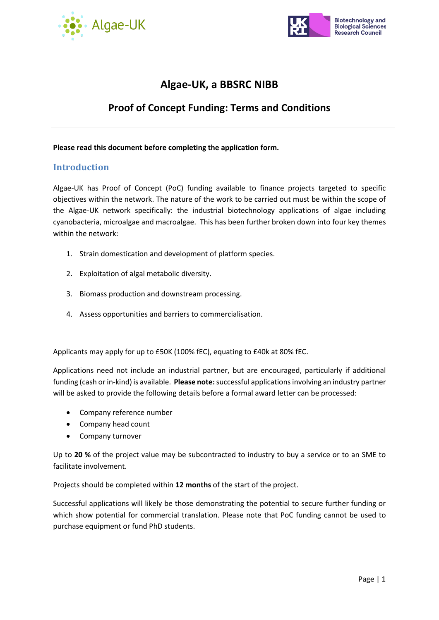



# **Algae-UK, a BBSRC NIBB**

# **Proof of Concept Funding: Terms and Conditions**

#### **Please read this document before completing the application form.**

### **Introduction**

Algae-UK has Proof of Concept (PoC) funding available to finance projects targeted to specific objectives within the network. The nature of the work to be carried out must be within the scope of the Algae-UK network specifically: the industrial biotechnology applications of algae including cyanobacteria, microalgae and macroalgae. This has been further broken down into four key themes within the network:

- 1. Strain domestication and development of platform species.
- 2. Exploitation of algal metabolic diversity.
- 3. Biomass production and downstream processing.
- 4. Assess opportunities and barriers to commercialisation.

Applicants may apply for up to £50K (100% fEC), equating to £40k at 80% fEC.

Applications need not include an industrial partner, but are encouraged, particularly if additional funding (cash or in-kind) is available. **Please note:**successful applications involving an industry partner will be asked to provide the following details before a formal award letter can be processed:

- Company reference number
- Company head count
- Company turnover

Up to **20 %** of the project value may be subcontracted to industry to buy a service or to an SME to facilitate involvement.

Projects should be completed within **12 months** of the start of the project.

Successful applications will likely be those demonstrating the potential to secure further funding or which show potential for commercial translation. Please note that PoC funding cannot be used to purchase equipment or fund PhD students.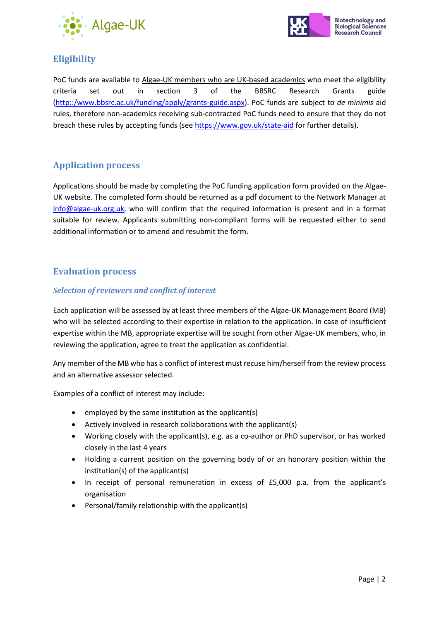



# **Eligibility**

PoC funds are available to Algae-UK members who are UK-based academics who meet the eligibility criteria set out in section 3 of the BBSRC Research Grants guide [\(http::/www.bbsrc.ac.uk/funding/apply/grants-guide.aspx\)](http://www.bbsrc.ac.uk/funding/apply/grants-guide.aspx). PoC funds are subject to *de minimis* aid rules, therefore non-academics receiving sub-contracted PoC funds need to ensure that they do not breach these rules by accepting funds (see<https://www.gov.uk/state-aid> for further details).

# **Application process**

Applications should be made by completing the PoC funding application form provided on the Algae-UK website. The completed form should be returned as a pdf document to the Network Manager at [info@algae-uk.org.uk,](mailto:info@algae-uk.org.uk) who will confirm that the required information is present and in a format suitable for review. Applicants submitting non-compliant forms will be requested either to send additional information or to amend and resubmit the form.

# **Evaluation process**

#### *Selection of reviewers and conflict of interest*

Each application will be assessed by at least three members of the Algae-UK Management Board (MB) who will be selected according to their expertise in relation to the application. In case of insufficient expertise within the MB, appropriate expertise will be sought from other Algae-UK members, who, in reviewing the application, agree to treat the application as confidential.

Any member of the MB who has a conflict of interest must recuse him/herself from the review process and an alternative assessor selected.

Examples of a conflict of interest may include:

- employed by the same institution as the applicant(s)
- Actively involved in research collaborations with the applicant(s)
- Working closely with the applicant(s), e.g. as a co-author or PhD supervisor, or has worked closely in the last 4 years
- Holding a current position on the governing body of or an honorary position within the institution(s) of the applicant(s)
- In receipt of personal remuneration in excess of £5,000 p.a. from the applicant's organisation
- Personal/family relationship with the applicant(s)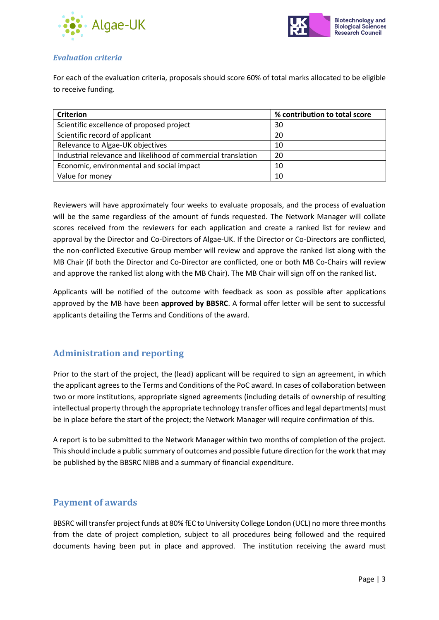



#### *Evaluation criteria*

For each of the evaluation criteria, proposals should score 60% of total marks allocated to be eligible to receive funding.

| <b>Criterion</b>                                              | % contribution to total score |
|---------------------------------------------------------------|-------------------------------|
| Scientific excellence of proposed project                     | 30                            |
| Scientific record of applicant                                | 20                            |
| Relevance to Algae-UK objectives                              | 10                            |
| Industrial relevance and likelihood of commercial translation | 20                            |
| Economic, environmental and social impact                     | 10                            |
| Value for money                                               | 10                            |

Reviewers will have approximately four weeks to evaluate proposals, and the process of evaluation will be the same regardless of the amount of funds requested. The Network Manager will collate scores received from the reviewers for each application and create a ranked list for review and approval by the Director and Co-Directors of Algae-UK. If the Director or Co-Directors are conflicted, the non-conflicted Executive Group member will review and approve the ranked list along with the MB Chair (if both the Director and Co-Director are conflicted, one or both MB Co-Chairs will review and approve the ranked list along with the MB Chair). The MB Chair will sign off on the ranked list.

Applicants will be notified of the outcome with feedback as soon as possible after applications approved by the MB have been **approved by BBSRC**. A formal offer letter will be sent to successful applicants detailing the Terms and Conditions of the award.

# **Administration and reporting**

Prior to the start of the project, the (lead) applicant will be required to sign an agreement, in which the applicant agrees to the Terms and Conditions of the PoC award. In cases of collaboration between two or more institutions, appropriate signed agreements (including details of ownership of resulting intellectual property through the appropriate technology transfer offices and legal departments) must be in place before the start of the project; the Network Manager will require confirmation of this.

A report is to be submitted to the Network Manager within two months of completion of the project. This should include a public summary of outcomes and possible future direction for the work that may be published by the BBSRC NIBB and a summary of financial expenditure.

# **Payment of awards**

BBSRC will transfer project funds at 80% fEC to University College London (UCL) no more three months from the date of project completion, subject to all procedures being followed and the required documents having been put in place and approved. The institution receiving the award must